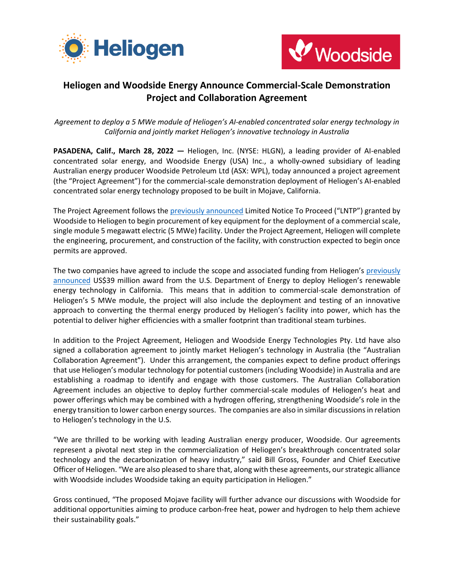



## **Heliogen and Woodside Energy Announce Commercial-Scale Demonstration Project and Collaboration Agreement**

*Agreement to deploy a 5 MWe module of Heliogen's AI-enabled concentrated solar energy technology in California and jointly market Heliogen's innovative technology in Australia*

**PASADENA, Calif., March 28, 2022 —** Heliogen, Inc. (NYSE: HLGN), a leading provider of AI-enabled concentrated solar energy, and Woodside Energy (USA) Inc., a wholly-owned subsidiary of leading Australian energy producer Woodside Petroleum Ltd (ASX: WPL), today announced a project agreement (the "Project Agreement") for the commercial-scale demonstration deployment of Heliogen's AI-enabled concentrated solar energy technology proposed to be built in Mojave, California.

The Project Agreement follows th[e previously announced](https://www.businesswire.com/news/home/20211018005293/en/Heliogen-and-Woodside-to-Collaborate-on-Breakthrough-Solar-Technology-Project-to-Reduce-Carbon-Emissions) Limited Notice To Proceed ("LNTP") granted by Woodside to Heliogen to begin procurement of key equipment for the deployment of a commercial scale, single module 5 megawatt electric (5 MWe) facility. Under the Project Agreement, Heliogen will complete the engineering, procurement, and construction of the facility, with construction expected to begin once permits are approved.

The two companies have agreed to include the scope and associated funding from Heliogen's [previously](https://www.businesswire.com/news/home/20211220005273/en/Heliogen-Finalizes-39-Million-Award-From-the-U.S.-Department-of-Energy-for-Deployment-of-AI-Enabled-Concentrated-Solar-Technology)  [announced](https://www.businesswire.com/news/home/20211220005273/en/Heliogen-Finalizes-39-Million-Award-From-the-U.S.-Department-of-Energy-for-Deployment-of-AI-Enabled-Concentrated-Solar-Technology) US\$39 million award from the U.S. Department of Energy to deploy Heliogen's renewable energy technology in California. This means that in addition to commercial-scale demonstration of Heliogen's 5 MWe module, the project will also include the deployment and testing of an innovative approach to converting the thermal energy produced by Heliogen's facility into power, which has the potential to deliver higher efficiencies with a smaller footprint than traditional steam turbines.

In addition to the Project Agreement, Heliogen and Woodside Energy Technologies Pty. Ltd have also signed a collaboration agreement to jointly market Heliogen's technology in Australia (the "Australian Collaboration Agreement"). Under this arrangement, the companies expect to define product offerings that use Heliogen's modular technology for potential customers (including Woodside) in Australia and are establishing a roadmap to identify and engage with those customers. The Australian Collaboration Agreement includes an objective to deploy further commercial-scale modules of Heliogen's heat and power offerings which may be combined with a hydrogen offering, strengthening Woodside's role in the energy transition to lower carbon energy sources. The companies are also in similar discussions in relation to Heliogen's technology in the U.S.

"We are thrilled to be working with leading Australian energy producer, Woodside. Our agreements represent a pivotal next step in the commercialization of Heliogen's breakthrough concentrated solar technology and the decarbonization of heavy industry," said Bill Gross, Founder and Chief Executive Officer of Heliogen. "We are also pleased to share that, along with these agreements, our strategic alliance with Woodside includes Woodside taking an equity participation in Heliogen."

Gross continued, "The proposed Mojave facility will further advance our discussions with Woodside for additional opportunities aiming to produce carbon-free heat, power and hydrogen to help them achieve their sustainability goals."